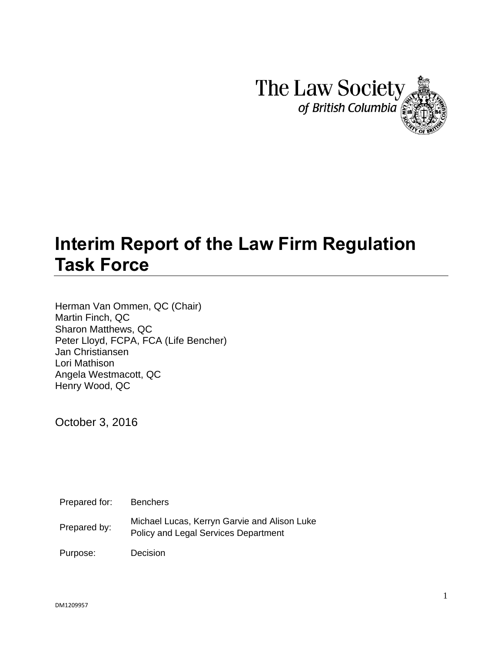

# **Interim Report of the Law Firm Regulation Task Force**

Herman Van Ommen, QC (Chair) Martin Finch, QC Sharon Matthews, QC Peter Lloyd, FCPA, FCA (Life Bencher) Jan Christiansen Lori Mathison Angela Westmacott, QC Henry Wood, QC

October 3, 2016

Prepared for: Benchers

Michael Lucas, Kerryn Garvie and Alison Luke<br>
Prepared by: Relianced Lucas, Kerryn Garviere Repeaters of Policy and Legal Services Department

Purpose: Decision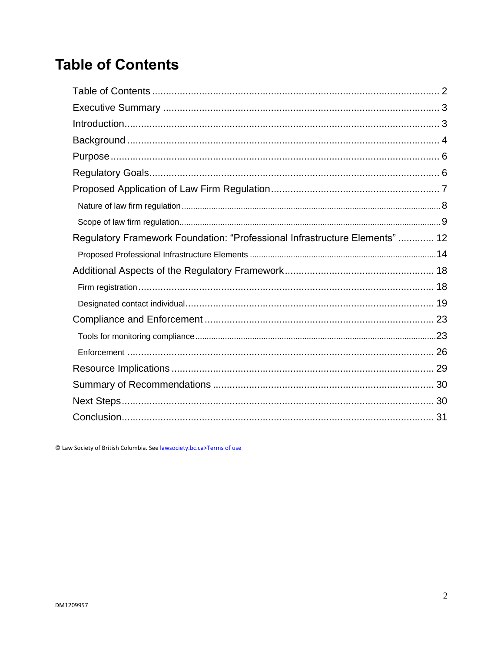## <span id="page-1-0"></span>**Table of Contents**

| Regulatory Framework Foundation: "Professional Infrastructure Elements"  12 |  |
|-----------------------------------------------------------------------------|--|
|                                                                             |  |
|                                                                             |  |
|                                                                             |  |
|                                                                             |  |
|                                                                             |  |
|                                                                             |  |
|                                                                             |  |
|                                                                             |  |
|                                                                             |  |
|                                                                             |  |
|                                                                             |  |

© Law Society of British Columbia. See lawsociety.bc.ca>Terms of use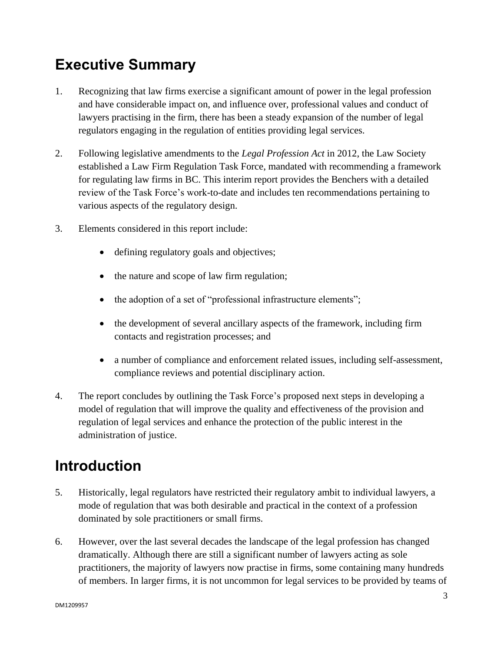## <span id="page-2-0"></span>**Executive Summary**

- 1. Recognizing that law firms exercise a significant amount of power in the legal profession and have considerable impact on, and influence over, professional values and conduct of lawyers practising in the firm, there has been a steady expansion of the number of legal regulators engaging in the regulation of entities providing legal services.
- 2. Following legislative amendments to the *Legal Profession Act* in 2012, the Law Society established a Law Firm Regulation Task Force, mandated with recommending a framework for regulating law firms in BC. This interim report provides the Benchers with a detailed review of the Task Force's work-to-date and includes ten recommendations pertaining to various aspects of the regulatory design.
- 3. Elements considered in this report include:
	- defining regulatory goals and objectives;
	- the nature and scope of law firm regulation;
	- the adoption of a set of "professional infrastructure elements";
	- the development of several ancillary aspects of the framework, including firm contacts and registration processes; and
	- a number of compliance and enforcement related issues, including self-assessment, compliance reviews and potential disciplinary action.
- 4. The report concludes by outlining the Task Force's proposed next steps in developing a model of regulation that will improve the quality and effectiveness of the provision and regulation of legal services and enhance the protection of the public interest in the administration of justice.

## <span id="page-2-1"></span>**Introduction**

- 5. Historically, legal regulators have restricted their regulatory ambit to individual lawyers, a mode of regulation that was both desirable and practical in the context of a profession dominated by sole practitioners or small firms.
- 6. However, over the last several decades the landscape of the legal profession has changed dramatically. Although there are still a significant number of lawyers acting as sole practitioners, the majority of lawyers now practise in firms, some containing many hundreds of members. In larger firms, it is not uncommon for legal services to be provided by teams of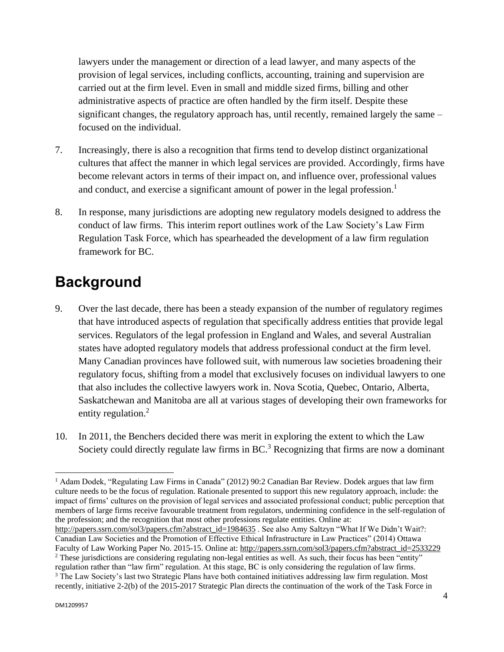lawyers under the management or direction of a lead lawyer, and many aspects of the provision of legal services, including conflicts, accounting, training and supervision are carried out at the firm level. Even in small and middle sized firms, billing and other administrative aspects of practice are often handled by the firm itself. Despite these significant changes, the regulatory approach has, until recently, remained largely the same – focused on the individual.

- 7. Increasingly, there is also a recognition that firms tend to develop distinct organizational cultures that affect the manner in which legal services are provided. Accordingly, firms have become relevant actors in terms of their impact on, and influence over, professional values and conduct, and exercise a significant amount of power in the legal profession.<sup>1</sup>
- 8. In response, many jurisdictions are adopting new regulatory models designed to address the conduct of law firms. This interim report outlines work of the Law Society's Law Firm Regulation Task Force, which has spearheaded the development of a law firm regulation framework for BC.

## <span id="page-3-0"></span>**Background**

- 9. Over the last decade, there has been a steady expansion of the number of regulatory regimes that have introduced aspects of regulation that specifically address entities that provide legal services. Regulators of the legal profession in England and Wales, and several Australian states have adopted regulatory models that address professional conduct at the firm level. Many Canadian provinces have followed suit, with numerous law societies broadening their regulatory focus, shifting from a model that exclusively focuses on individual lawyers to one that also includes the collective lawyers work in. Nova Scotia, Quebec, Ontario, Alberta, Saskatchewan and Manitoba are all at various stages of developing their own frameworks for entity regulation.<sup>2</sup>
- 10. In 2011, the Benchers decided there was merit in exploring the extent to which the Law Society could directly regulate law firms in BC.<sup>3</sup> Recognizing that firms are now a dominant

 $\overline{a}$ <sup>1</sup> Adam Dodek, "Regulating Law Firms in Canada" (2012) 90:2 Canadian Bar Review. Dodek argues that law firm culture needs to be the focus of regulation. Rationale presented to support this new regulatory approach, include: the impact of firms' cultures on the provision of legal services and associated professional conduct; public perception that members of large firms receive favourable treatment from regulators, undermining confidence in the self-regulation of the profession; and the recognition that most other professions regulate entities. Online at:

[http://papers.ssrn.com/sol3/papers.cfm?abstract\\_id=1984635](http://papers.ssrn.com/sol3/papers.cfm?abstract_id=1984635) . See also Amy Saltzyn "What If We Didn't Wait?: Canadian Law Societies and the Promotion of Effective Ethical Infrastructure in Law Practices" (2014) Ottawa Faculty of Law Working Paper No. 2015-15. Online at[: http://papers.ssrn.com/sol3/papers.cfm?abstract\\_id=2533229](http://papers.ssrn.com/sol3/papers.cfm?abstract_id=2533229) <sup>2</sup> These jurisdictions are considering regulating non-legal entities as well. As such, their focus has been "entity" regulation rather than "law firm" regulation. At this stage, BC is only considering the regulation of law firms.

<sup>&</sup>lt;sup>3</sup> The Law Society's last two Strategic Plans have both contained initiatives addressing law firm regulation. Most recently, initiative 2-2(b) of the 2015-2017 Strategic Plan directs the continuation of the work of the Task Force in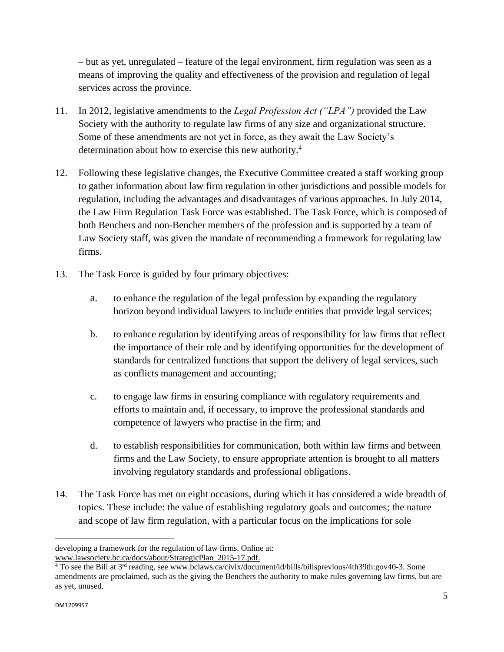– but as yet, unregulated – feature of the legal environment, firm regulation was seen as a means of improving the quality and effectiveness of the provision and regulation of legal services across the province.

- 11. In 2012, legislative amendments to the *Legal Profession Act ("LPA")* provided the Law Society with the authority to regulate law firms of any size and organizational structure. Some of these amendments are not yet in force, as they await the Law Society's determination about how to exercise this new authority.<sup>4</sup>
- 12. Following these legislative changes, the Executive Committee created a staff working group to gather information about law firm regulation in other jurisdictions and possible models for regulation, including the advantages and disadvantages of various approaches. In July 2014, the Law Firm Regulation Task Force was established. The Task Force, which is composed of both Benchers and non-Bencher members of the profession and is supported by a team of Law Society staff, was given the mandate of recommending a framework for regulating law firms.
- 13. The Task Force is guided by four primary objectives:
	- a. to enhance the regulation of the legal profession by expanding the regulatory horizon beyond individual lawyers to include entities that provide legal services;
	- b. to enhance regulation by identifying areas of responsibility for law firms that reflect the importance of their role and by identifying opportunities for the development of standards for centralized functions that support the delivery of legal services, such as conflicts management and accounting;
	- c. to engage law firms in ensuring compliance with regulatory requirements and efforts to maintain and, if necessary, to improve the professional standards and competence of lawyers who practise in the firm; and
	- d. to establish responsibilities for communication, both within law firms and between firms and the Law Society, to ensure appropriate attention is brought to all matters involving regulatory standards and professional obligations.
- 14. The Task Force has met on eight occasions, during which it has considered a wide breadth of topics. These include: the value of establishing regulatory goals and outcomes; the nature and scope of law firm regulation, with a particular focus on the implications for sole

 $\ddot{\phantom{a}}$ 

developing a framework for the regulation of law firms. Online at: [www.lawsociety.bc.ca/docs/about/StrategicPlan\\_2015-17.pdf.](http://www.lawsociety.bc.ca/docs/about/StrategicPlan_2015-17.pdf)

<sup>4</sup> To see the Bill at 3rd reading, se[e www.bclaws.ca/civix/document/id/bills/billsprevious/4th39th:gov40-3.](http://www.bclaws.ca/civix/document/id/bills/billsprevious/4th39th:gov40-3) Some amendments are proclaimed, such as the giving the Benchers the authority to make rules governing law firms, but are as yet, unused.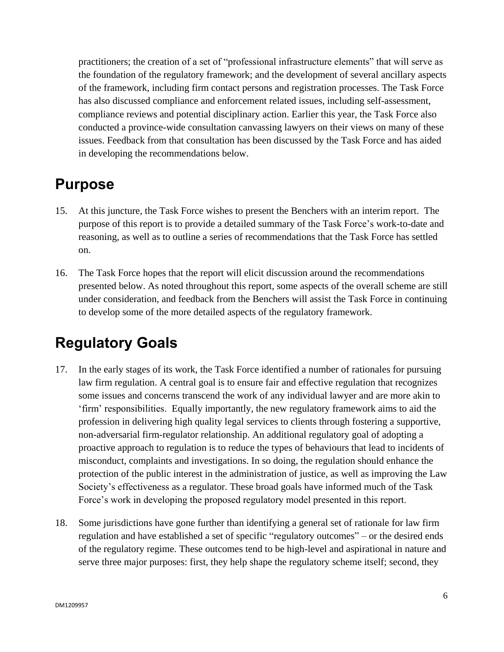practitioners; the creation of a set of "professional infrastructure elements" that will serve as the foundation of the regulatory framework; and the development of several ancillary aspects of the framework, including firm contact persons and registration processes. The Task Force has also discussed compliance and enforcement related issues, including self-assessment, compliance reviews and potential disciplinary action. Earlier this year, the Task Force also conducted a province-wide consultation canvassing lawyers on their views on many of these issues. Feedback from that consultation has been discussed by the Task Force and has aided in developing the recommendations below.

## <span id="page-5-0"></span>**Purpose**

- 15. At this juncture, the Task Force wishes to present the Benchers with an interim report. The purpose of this report is to provide a detailed summary of the Task Force's work-to-date and reasoning, as well as to outline a series of recommendations that the Task Force has settled on.
- 16. The Task Force hopes that the report will elicit discussion around the recommendations presented below. As noted throughout this report, some aspects of the overall scheme are still under consideration, and feedback from the Benchers will assist the Task Force in continuing to develop some of the more detailed aspects of the regulatory framework.

## <span id="page-5-1"></span>**Regulatory Goals**

- 17. In the early stages of its work, the Task Force identified a number of rationales for pursuing law firm regulation. A central goal is to ensure fair and effective regulation that recognizes some issues and concerns transcend the work of any individual lawyer and are more akin to 'firm' responsibilities. Equally importantly, the new regulatory framework aims to aid the profession in delivering high quality legal services to clients through fostering a supportive, non-adversarial firm-regulator relationship. An additional regulatory goal of adopting a proactive approach to regulation is to reduce the types of behaviours that lead to incidents of misconduct, complaints and investigations. In so doing, the regulation should enhance the protection of the public interest in the administration of justice, as well as improving the Law Society's effectiveness as a regulator. These broad goals have informed much of the Task Force's work in developing the proposed regulatory model presented in this report.
- 18. Some jurisdictions have gone further than identifying a general set of rationale for law firm regulation and have established a set of specific "regulatory outcomes" – or the desired ends of the regulatory regime. These outcomes tend to be high-level and aspirational in nature and serve three major purposes: first, they help shape the regulatory scheme itself; second, they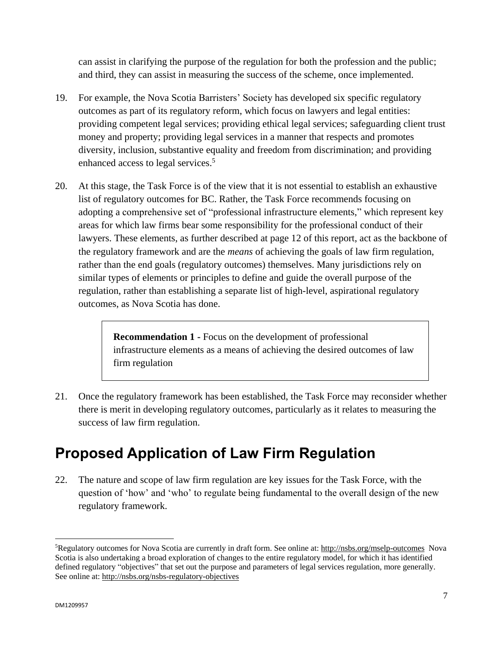can assist in clarifying the purpose of the regulation for both the profession and the public; and third, they can assist in measuring the success of the scheme, once implemented.

- 19. For example, the Nova Scotia Barristers' Society has developed six specific regulatory outcomes as part of its regulatory reform, which focus on lawyers and legal entities: providing competent legal services; providing ethical legal services; safeguarding client trust money and property; providing legal services in a manner that respects and promotes diversity, inclusion, substantive equality and freedom from discrimination; and providing enhanced access to legal services.<sup>5</sup>
- 20. At this stage, the Task Force is of the view that it is not essential to establish an exhaustive list of regulatory outcomes for BC. Rather, the Task Force recommends focusing on adopting a comprehensive set of "professional infrastructure elements," which represent key areas for which law firms bear some responsibility for the professional conduct of their lawyers. These elements, as further described at page 12 of this report, act as the backbone of the regulatory framework and are the *means* of achieving the goals of law firm regulation, rather than the end goals (regulatory outcomes) themselves. Many jurisdictions rely on similar types of elements or principles to define and guide the overall purpose of the regulation, rather than establishing a separate list of high-level, aspirational regulatory outcomes, as Nova Scotia has done.

**Recommendation 1 -** Focus on the development of professional infrastructure elements as a means of achieving the desired outcomes of law firm regulation

21. Once the regulatory framework has been established, the Task Force may reconsider whether there is merit in developing regulatory outcomes, particularly as it relates to measuring the success of law firm regulation.

## <span id="page-6-0"></span>**Proposed Application of Law Firm Regulation**

22. The nature and scope of law firm regulation are key issues for the Task Force, with the question of 'how' and 'who' to regulate being fundamental to the overall design of the new regulatory framework.

 $\ddot{\phantom{a}}$ 

<sup>5</sup>Regulatory outcomes for Nova Scotia are currently in draft form. See online at:<http://nsbs.org/mselp-outcomes>Nova Scotia is also undertaking a broad exploration of changes to the entire regulatory model, for which it has identified defined regulatory "objectives" that set out the purpose and parameters of legal services regulation, more generally. See online at:<http://nsbs.org/nsbs-regulatory-objectives>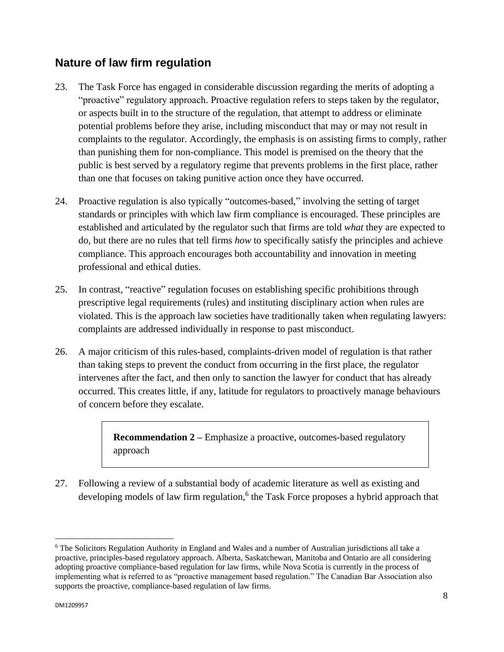### <span id="page-7-0"></span>**Nature of law firm regulation**

- 23. The Task Force has engaged in considerable discussion regarding the merits of adopting a "proactive" regulatory approach. Proactive regulation refers to steps taken by the regulator, or aspects built in to the structure of the regulation, that attempt to address or eliminate potential problems before they arise, including misconduct that may or may not result in complaints to the regulator. Accordingly, the emphasis is on assisting firms to comply, rather than punishing them for non-compliance. This model is premised on the theory that the public is best served by a regulatory regime that prevents problems in the first place, rather than one that focuses on taking punitive action once they have occurred.
- 24. Proactive regulation is also typically "outcomes-based," involving the setting of target standards or principles with which law firm compliance is encouraged. These principles are established and articulated by the regulator such that firms are told *what* they are expected to do, but there are no rules that tell firms *how* to specifically satisfy the principles and achieve compliance. This approach encourages both accountability and innovation in meeting professional and ethical duties.
- 25. In contrast, "reactive" regulation focuses on establishing specific prohibitions through prescriptive legal requirements (rules) and instituting disciplinary action when rules are violated. This is the approach law societies have traditionally taken when regulating lawyers: complaints are addressed individually in response to past misconduct.
- 26. A major criticism of this rules-based, complaints-driven model of regulation is that rather than taking steps to prevent the conduct from occurring in the first place, the regulator intervenes after the fact, and then only to sanction the lawyer for conduct that has already occurred. This creates little, if any, latitude for regulators to proactively manage behaviours of concern before they escalate.

**Recommendation 2 – Emphasize a proactive, outcomes-based regulatory** approach

27. Following a review of a substantial body of academic literature as well as existing and developing models of law firm regulation, 6 the Task Force proposes a hybrid approach that

 $\ddot{\phantom{a}}$ 

<sup>6</sup> The Solicitors Regulation Authority in England and Wales and a number of Australian jurisdictions all take a proactive, principles-based regulatory approach. Alberta, Saskatchewan, Manitoba and Ontario are all considering adopting proactive compliance-based regulation for law firms, while Nova Scotia is currently in the process of implementing what is referred to as "proactive management based regulation." The Canadian Bar Association also supports the proactive, compliance-based regulation of law firms.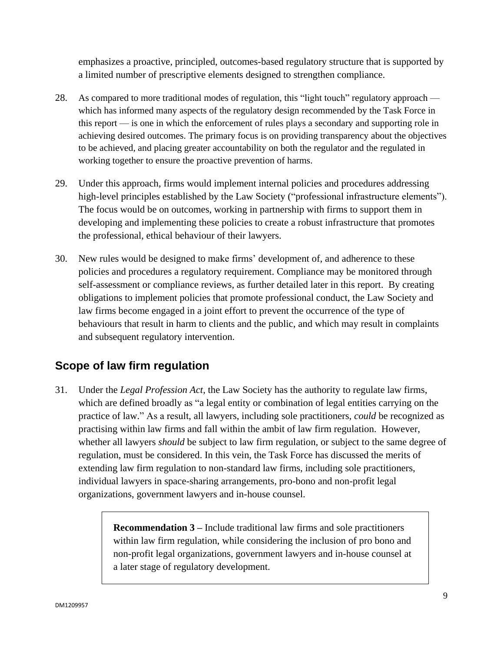emphasizes a proactive, principled, outcomes-based regulatory structure that is supported by a limited number of prescriptive elements designed to strengthen compliance.

- 28. As compared to more traditional modes of regulation, this "light touch" regulatory approach which has informed many aspects of the regulatory design recommended by the Task Force in this report — is one in which the enforcement of rules plays a secondary and supporting role in achieving desired outcomes. The primary focus is on providing transparency about the objectives to be achieved, and placing greater accountability on both the regulator and the regulated in working together to ensure the proactive prevention of harms.
- 29. Under this approach, firms would implement internal policies and procedures addressing high-level principles established by the Law Society ("professional infrastructure elements"). The focus would be on outcomes, working in partnership with firms to support them in developing and implementing these policies to create a robust infrastructure that promotes the professional, ethical behaviour of their lawyers.
- 30. New rules would be designed to make firms' development of, and adherence to these policies and procedures a regulatory requirement. Compliance may be monitored through self-assessment or compliance reviews, as further detailed later in this report. By creating obligations to implement policies that promote professional conduct, the Law Society and law firms become engaged in a joint effort to prevent the occurrence of the type of behaviours that result in harm to clients and the public, and which may result in complaints and subsequent regulatory intervention.

### <span id="page-8-0"></span>**Scope of law firm regulation**

31. Under the *Legal Profession Act*, the Law Society has the authority to regulate law firms, which are defined broadly as "a legal entity or combination of legal entities carrying on the practice of law." As a result, all lawyers, including sole practitioners, *could* be recognized as practising within law firms and fall within the ambit of law firm regulation. However, whether all lawyers *should* be subject to law firm regulation, or subject to the same degree of regulation, must be considered. In this vein, the Task Force has discussed the merits of extending law firm regulation to non-standard law firms, including sole practitioners, individual lawyers in space-sharing arrangements, pro-bono and non-profit legal organizations, government lawyers and in-house counsel.

> **Recommendation 3 –** Include traditional law firms and sole practitioners within law firm regulation, while considering the inclusion of pro bono and non-profit legal organizations, government lawyers and in-house counsel at a later stage of regulatory development.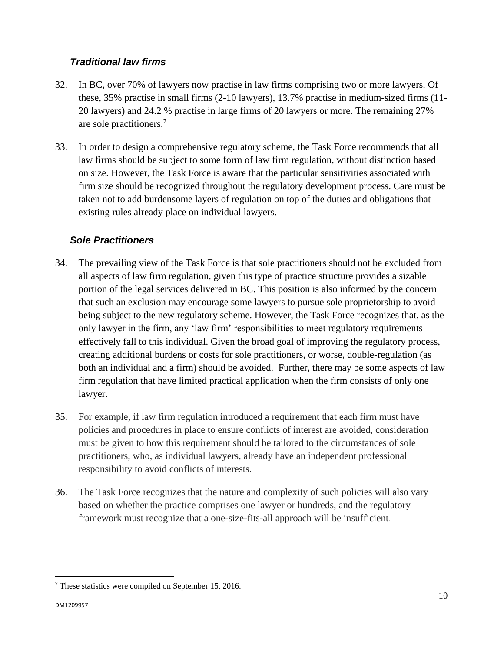### *Traditional law firms*

- 32. In BC, over 70% of lawyers now practise in law firms comprising two or more lawyers. Of these, 35% practise in small firms (2-10 lawyers), 13.7% practise in medium-sized firms (11- 20 lawyers) and 24.2 % practise in large firms of 20 lawyers or more. The remaining 27% are sole practitioners.<sup>7</sup>
- 33. In order to design a comprehensive regulatory scheme, the Task Force recommends that all law firms should be subject to some form of law firm regulation, without distinction based on size. However, the Task Force is aware that the particular sensitivities associated with firm size should be recognized throughout the regulatory development process. Care must be taken not to add burdensome layers of regulation on top of the duties and obligations that existing rules already place on individual lawyers.

### *Sole Practitioners*

- 34. The prevailing view of the Task Force is that sole practitioners should not be excluded from all aspects of law firm regulation, given this type of practice structure provides a sizable portion of the legal services delivered in BC. This position is also informed by the concern that such an exclusion may encourage some lawyers to pursue sole proprietorship to avoid being subject to the new regulatory scheme. However, the Task Force recognizes that, as the only lawyer in the firm, any 'law firm' responsibilities to meet regulatory requirements effectively fall to this individual. Given the broad goal of improving the regulatory process, creating additional burdens or costs for sole practitioners, or worse, double-regulation (as both an individual and a firm) should be avoided. Further, there may be some aspects of law firm regulation that have limited practical application when the firm consists of only one lawyer.
- 35. For example, if law firm regulation introduced a requirement that each firm must have policies and procedures in place to ensure conflicts of interest are avoided, consideration must be given to how this requirement should be tailored to the circumstances of sole practitioners, who, as individual lawyers, already have an independent professional responsibility to avoid conflicts of interests.
- 36. The Task Force recognizes that the nature and complexity of such policies will also vary based on whether the practice comprises one lawyer or hundreds, and the regulatory framework must recognize that a one-size-fits-all approach will be insufficient.

<sup>7</sup> These statistics were compiled on September 15, 2016.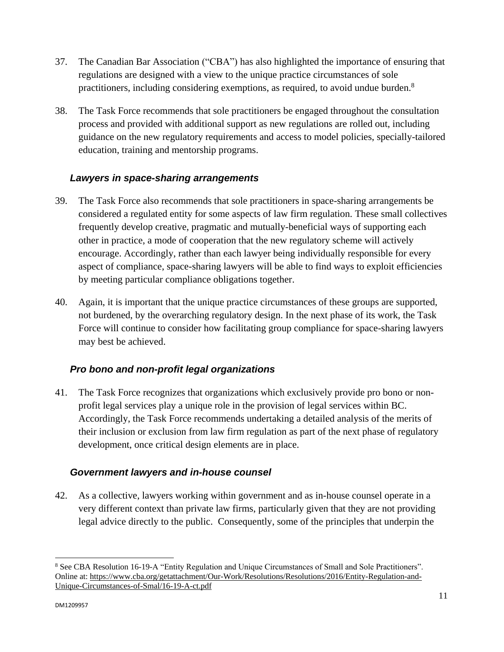- 37. The Canadian Bar Association ("CBA") has also highlighted the importance of ensuring that regulations are designed with a view to the unique practice circumstances of sole practitioners, including considering exemptions, as required, to avoid undue burden.<sup>8</sup>
- 38. The Task Force recommends that sole practitioners be engaged throughout the consultation process and provided with additional support as new regulations are rolled out, including guidance on the new regulatory requirements and access to model policies, specially-tailored education, training and mentorship programs.

### *Lawyers in space-sharing arrangements*

- 39. The Task Force also recommends that sole practitioners in space-sharing arrangements be considered a regulated entity for some aspects of law firm regulation. These small collectives frequently develop creative, pragmatic and mutually-beneficial ways of supporting each other in practice, a mode of cooperation that the new regulatory scheme will actively encourage. Accordingly, rather than each lawyer being individually responsible for every aspect of compliance, space-sharing lawyers will be able to find ways to exploit efficiencies by meeting particular compliance obligations together.
- 40. Again, it is important that the unique practice circumstances of these groups are supported, not burdened, by the overarching regulatory design. In the next phase of its work, the Task Force will continue to consider how facilitating group compliance for space-sharing lawyers may best be achieved.

### *Pro bono and non-profit legal organizations*

41. The Task Force recognizes that organizations which exclusively provide pro bono or nonprofit legal services play a unique role in the provision of legal services within BC. Accordingly, the Task Force recommends undertaking a detailed analysis of the merits of their inclusion or exclusion from law firm regulation as part of the next phase of regulatory development, once critical design elements are in place.

#### *Government lawyers and in-house counsel*

42. As a collective, lawyers working within government and as in-house counsel operate in a very different context than private law firms, particularly given that they are not providing legal advice directly to the public. Consequently, some of the principles that underpin the

<sup>8</sup> See CBA Resolution 16-19-A "Entity Regulation and Unique Circumstances of Small and Sole Practitioners". Online at: [https://www.cba.org/getattachment/Our-Work/Resolutions/Resolutions/2016/Entity-Regulation-and-](https://www.cba.org/getattachment/Our-Work/Resolutions/Resolutions/2016/Entity-Regulation-and-Unique-Circumstances-of-Smal/16-19-A-ct.pdf)[Unique-Circumstances-of-Smal/16-19-A-ct.pdf](https://www.cba.org/getattachment/Our-Work/Resolutions/Resolutions/2016/Entity-Regulation-and-Unique-Circumstances-of-Smal/16-19-A-ct.pdf)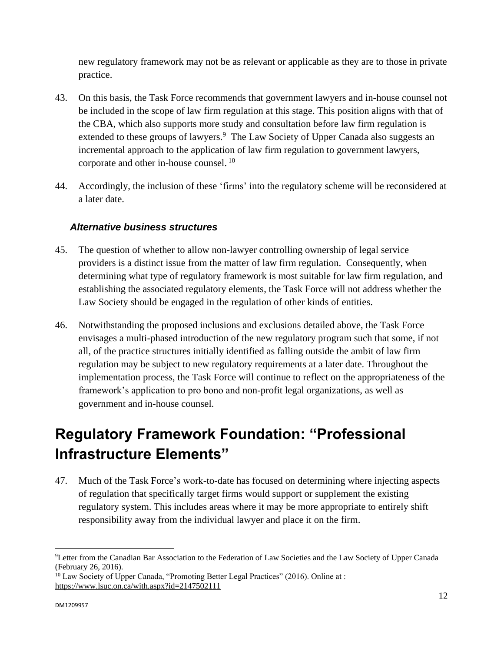new regulatory framework may not be as relevant or applicable as they are to those in private practice.

- 43. On this basis, the Task Force recommends that government lawyers and in-house counsel not be included in the scope of law firm regulation at this stage. This position aligns with that of the CBA, which also supports more study and consultation before law firm regulation is extended to these groups of lawyers.<sup>9</sup> The Law Society of Upper Canada also suggests an incremental approach to the application of law firm regulation to government lawyers, corporate and other in-house counsel.<sup>10</sup>
- 44. Accordingly, the inclusion of these 'firms' into the regulatory scheme will be reconsidered at a later date.

### *Alternative business structures*

- 45. The question of whether to allow non-lawyer controlling ownership of legal service providers is a distinct issue from the matter of law firm regulation. Consequently, when determining what type of regulatory framework is most suitable for law firm regulation, and establishing the associated regulatory elements, the Task Force will not address whether the Law Society should be engaged in the regulation of other kinds of entities.
- 46. Notwithstanding the proposed inclusions and exclusions detailed above, the Task Force envisages a multi-phased introduction of the new regulatory program such that some, if not all, of the practice structures initially identified as falling outside the ambit of law firm regulation may be subject to new regulatory requirements at a later date. Throughout the implementation process, the Task Force will continue to reflect on the appropriateness of the framework's application to pro bono and non-profit legal organizations, as well as government and in-house counsel.

## <span id="page-11-0"></span>**Regulatory Framework Foundation: "Professional Infrastructure Elements"**

47. Much of the Task Force's work-to-date has focused on determining where injecting aspects of regulation that specifically target firms would support or supplement the existing regulatory system. This includes areas where it may be more appropriate to entirely shift responsibility away from the individual lawyer and place it on the firm.

 $\overline{a}$ <sup>9</sup>Letter from the Canadian Bar Association to the Federation of Law Societies and the Law Society of Upper Canada (February 26, 2016).

<sup>&</sup>lt;sup>10</sup> Law Society of Upper Canada, "Promoting Better Legal Practices" (2016). Online at : <https://www.lsuc.on.ca/with.aspx?id=2147502111>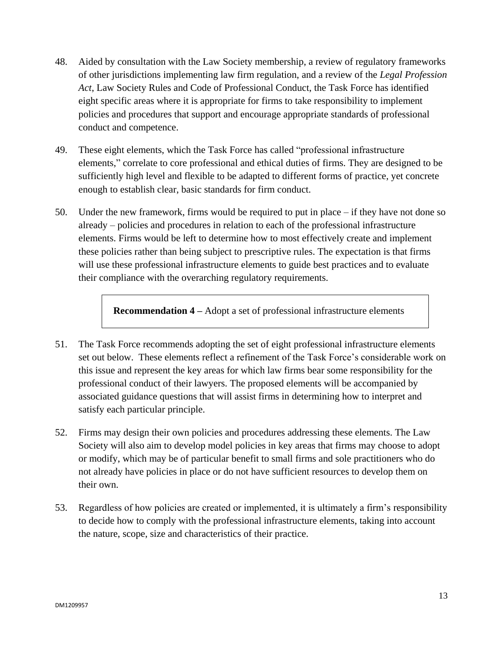- 48. Aided by consultation with the Law Society membership, a review of regulatory frameworks of other jurisdictions implementing law firm regulation, and a review of the *Legal Profession Act*, Law Society Rules and Code of Professional Conduct, the Task Force has identified eight specific areas where it is appropriate for firms to take responsibility to implement policies and procedures that support and encourage appropriate standards of professional conduct and competence.
- 49. These eight elements, which the Task Force has called "professional infrastructure elements," correlate to core professional and ethical duties of firms. They are designed to be sufficiently high level and flexible to be adapted to different forms of practice, yet concrete enough to establish clear, basic standards for firm conduct.
- 50. Under the new framework, firms would be required to put in place if they have not done so already – policies and procedures in relation to each of the professional infrastructure elements. Firms would be left to determine how to most effectively create and implement these policies rather than being subject to prescriptive rules. The expectation is that firms will use these professional infrastructure elements to guide best practices and to evaluate their compliance with the overarching regulatory requirements.

**Recommendation 4 –** Adopt a set of professional infrastructure elements

- 51. The Task Force recommends adopting the set of eight professional infrastructure elements set out below. These elements reflect a refinement of the Task Force's considerable work on this issue and represent the key areas for which law firms bear some responsibility for the professional conduct of their lawyers. The proposed elements will be accompanied by associated guidance questions that will assist firms in determining how to interpret and satisfy each particular principle.
- 52. Firms may design their own policies and procedures addressing these elements. The Law Society will also aim to develop model policies in key areas that firms may choose to adopt or modify, which may be of particular benefit to small firms and sole practitioners who do not already have policies in place or do not have sufficient resources to develop them on their own.
- 53. Regardless of how policies are created or implemented, it is ultimately a firm's responsibility to decide how to comply with the professional infrastructure elements, taking into account the nature, scope, size and characteristics of their practice.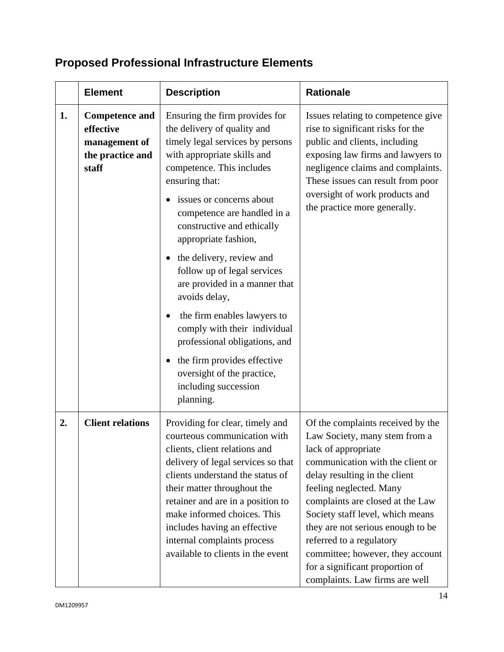#### **Element** Description Rationale **1. Competence and effective management of the practice and staff** Ensuring the firm provides for the delivery of quality and timely legal services by persons with appropriate skills and competence. This includes ensuring that: • issues or concerns about competence are handled in a constructive and ethically appropriate fashion, • the delivery, review and follow up of legal services are provided in a manner that avoids delay, the firm enables lawyers to comply with their individual professional obligations, and  $\bullet$  the firm provides effective oversight of the practice, including succession planning. Issues relating to competence give rise to significant risks for the public and clients, including exposing law firms and lawyers to negligence claims and complaints. These issues can result from poor oversight of work products and the practice more generally. **2. Client relations** Providing for clear, timely and courteous communication with clients, client relations and delivery of legal services so that clients understand the status of their matter throughout the retainer and are in a position to make informed choices. This includes having an effective internal complaints process available to clients in the event Of the complaints received by the Law Society, many stem from a lack of appropriate communication with the client or delay resulting in the client feeling neglected. Many complaints are closed at the Law Society staff level, which means they are not serious enough to be referred to a regulatory committee; however, they account for a significant proportion of complaints. Law firms are well

### <span id="page-13-0"></span>**Proposed Professional Infrastructure Elements**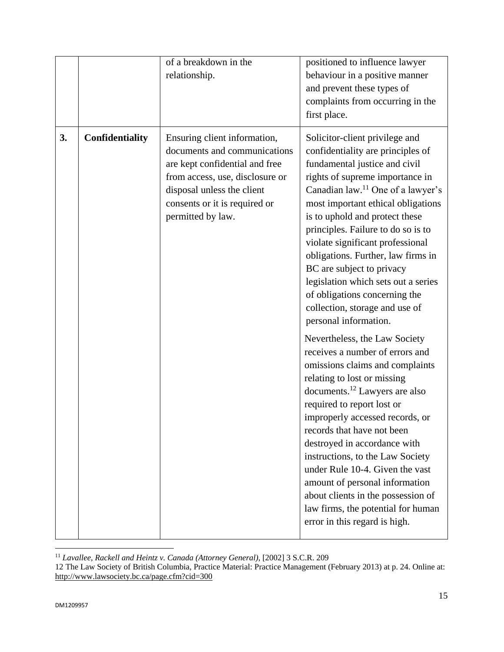|    |                 | of a breakdown in the<br>relationship.                                                                                                                                                                                | positioned to influence lawyer<br>behaviour in a positive manner<br>and prevent these types of<br>complaints from occurring in the<br>first place.                                                                                                                                                                                                                                                                                                                                                                                                                                                                                                                                                                                                                                                                                                                                                                                                                                                                                                                                       |
|----|-----------------|-----------------------------------------------------------------------------------------------------------------------------------------------------------------------------------------------------------------------|------------------------------------------------------------------------------------------------------------------------------------------------------------------------------------------------------------------------------------------------------------------------------------------------------------------------------------------------------------------------------------------------------------------------------------------------------------------------------------------------------------------------------------------------------------------------------------------------------------------------------------------------------------------------------------------------------------------------------------------------------------------------------------------------------------------------------------------------------------------------------------------------------------------------------------------------------------------------------------------------------------------------------------------------------------------------------------------|
| 3. | Confidentiality | Ensuring client information,<br>documents and communications<br>are kept confidential and free<br>from access, use, disclosure or<br>disposal unless the client<br>consents or it is required or<br>permitted by law. | Solicitor-client privilege and<br>confidentiality are principles of<br>fundamental justice and civil<br>rights of supreme importance in<br>Canadian law. <sup>11</sup> One of a lawyer's<br>most important ethical obligations<br>is to uphold and protect these<br>principles. Failure to do so is to<br>violate significant professional<br>obligations. Further, law firms in<br>BC are subject to privacy<br>legislation which sets out a series<br>of obligations concerning the<br>collection, storage and use of<br>personal information.<br>Nevertheless, the Law Society<br>receives a number of errors and<br>omissions claims and complaints<br>relating to lost or missing<br>documents. <sup>12</sup> Lawyers are also<br>required to report lost or<br>improperly accessed records, or<br>records that have not been<br>destroyed in accordance with<br>instructions, to the Law Society<br>under Rule 10-4. Given the vast<br>amount of personal information<br>about clients in the possession of<br>law firms, the potential for human<br>error in this regard is high. |

<sup>11</sup> *Lavallee, Rackell and Heintz v. Canada (Attorney General),* [2002] 3 S.C.R. 209

<sup>12</sup> The Law Society of British Columbia, Practice Material: Practice Management (February 2013) at p. 24. Online at: <http://www.lawsociety.bc.ca/page.cfm?cid=300>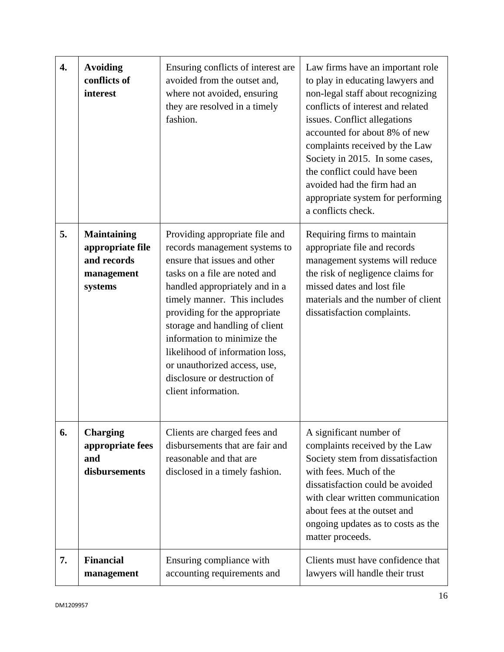| 4. | <b>Avoiding</b><br>conflicts of<br>interest                                    | Ensuring conflicts of interest are<br>avoided from the outset and,<br>where not avoided, ensuring<br>they are resolved in a timely<br>fashion.                                                                                                                                                                                                                                                                                 | Law firms have an important role<br>to play in educating lawyers and<br>non-legal staff about recognizing<br>conflicts of interest and related<br>issues. Conflict allegations<br>accounted for about 8% of new<br>complaints received by the Law<br>Society in 2015. In some cases,<br>the conflict could have been<br>avoided had the firm had an<br>appropriate system for performing<br>a conflicts check. |
|----|--------------------------------------------------------------------------------|--------------------------------------------------------------------------------------------------------------------------------------------------------------------------------------------------------------------------------------------------------------------------------------------------------------------------------------------------------------------------------------------------------------------------------|----------------------------------------------------------------------------------------------------------------------------------------------------------------------------------------------------------------------------------------------------------------------------------------------------------------------------------------------------------------------------------------------------------------|
| 5. | <b>Maintaining</b><br>appropriate file<br>and records<br>management<br>systems | Providing appropriate file and<br>records management systems to<br>ensure that issues and other<br>tasks on a file are noted and<br>handled appropriately and in a<br>timely manner. This includes<br>providing for the appropriate<br>storage and handling of client<br>information to minimize the<br>likelihood of information loss,<br>or unauthorized access, use,<br>disclosure or destruction of<br>client information. | Requiring firms to maintain<br>appropriate file and records<br>management systems will reduce<br>the risk of negligence claims for<br>missed dates and lost file<br>materials and the number of client<br>dissatisfaction complaints.                                                                                                                                                                          |
| 6. | <b>Charging</b><br>appropriate fees<br>and<br>disbursements                    | Clients are charged fees and<br>disbursements that are fair and<br>reasonable and that are<br>disclosed in a timely fashion.                                                                                                                                                                                                                                                                                                   | A significant number of<br>complaints received by the Law<br>Society stem from dissatisfaction<br>with fees. Much of the<br>dissatisfaction could be avoided<br>with clear written communication<br>about fees at the outset and<br>ongoing updates as to costs as the<br>matter proceeds.                                                                                                                     |
| 7. | <b>Financial</b><br>management                                                 | Ensuring compliance with<br>accounting requirements and                                                                                                                                                                                                                                                                                                                                                                        | Clients must have confidence that<br>lawyers will handle their trust                                                                                                                                                                                                                                                                                                                                           |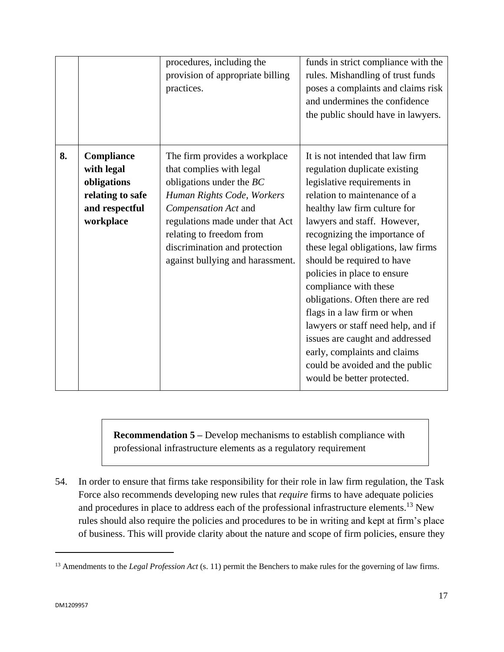|    |                                                                                                   | procedures, including the<br>provision of appropriate billing<br>practices.                                                                                                                                                                                                       | funds in strict compliance with the<br>rules. Mishandling of trust funds<br>poses a complaints and claims risk<br>and undermines the confidence<br>the public should have in lawyers.                                                                                                                                                                                                                                                                                                                                                                                                                     |
|----|---------------------------------------------------------------------------------------------------|-----------------------------------------------------------------------------------------------------------------------------------------------------------------------------------------------------------------------------------------------------------------------------------|-----------------------------------------------------------------------------------------------------------------------------------------------------------------------------------------------------------------------------------------------------------------------------------------------------------------------------------------------------------------------------------------------------------------------------------------------------------------------------------------------------------------------------------------------------------------------------------------------------------|
| 8. | <b>Compliance</b><br>with legal<br>obligations<br>relating to safe<br>and respectful<br>workplace | The firm provides a workplace<br>that complies with legal<br>obligations under the $BC$<br>Human Rights Code, Workers<br>Compensation Act and<br>regulations made under that Act<br>relating to freedom from<br>discrimination and protection<br>against bullying and harassment. | It is not intended that law firm<br>regulation duplicate existing<br>legislative requirements in<br>relation to maintenance of a<br>healthy law firm culture for<br>lawyers and staff. However,<br>recognizing the importance of<br>these legal obligations, law firms<br>should be required to have<br>policies in place to ensure<br>compliance with these<br>obligations. Often there are red<br>flags in a law firm or when<br>lawyers or staff need help, and if<br>issues are caught and addressed<br>early, complaints and claims<br>could be avoided and the public<br>would be better protected. |

**Recommendation 5 – Develop mechanisms to establish compliance with** professional infrastructure elements as a regulatory requirement

54. In order to ensure that firms take responsibility for their role in law firm regulation, the Task Force also recommends developing new rules that *require* firms to have adequate policies and procedures in place to address each of the professional infrastructure elements.<sup>13</sup> New rules should also require the policies and procedures to be in writing and kept at firm's place of business. This will provide clarity about the nature and scope of firm policies, ensure they

 $\ddot{\phantom{a}}$ 

<sup>&</sup>lt;sup>13</sup> Amendments to the *Legal Profession Act* (s. 11) permit the Benchers to make rules for the governing of law firms.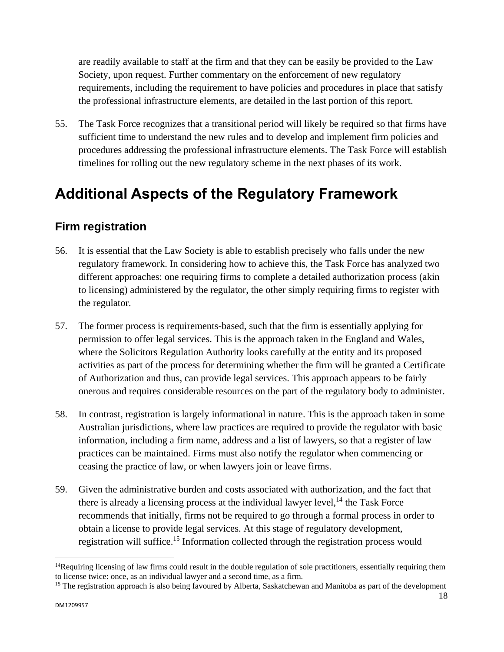are readily available to staff at the firm and that they can be easily be provided to the Law Society, upon request. Further commentary on the enforcement of new regulatory requirements, including the requirement to have policies and procedures in place that satisfy the professional infrastructure elements, are detailed in the last portion of this report.

55. The Task Force recognizes that a transitional period will likely be required so that firms have sufficient time to understand the new rules and to develop and implement firm policies and procedures addressing the professional infrastructure elements. The Task Force will establish timelines for rolling out the new regulatory scheme in the next phases of its work.

## <span id="page-17-0"></span>**Additional Aspects of the Regulatory Framework**

### <span id="page-17-1"></span>**Firm registration**

- 56. It is essential that the Law Society is able to establish precisely who falls under the new regulatory framework. In considering how to achieve this, the Task Force has analyzed two different approaches: one requiring firms to complete a detailed authorization process (akin to licensing) administered by the regulator, the other simply requiring firms to register with the regulator.
- 57. The former process is requirements-based, such that the firm is essentially applying for permission to offer legal services. This is the approach taken in the England and Wales, where the Solicitors Regulation Authority looks carefully at the entity and its proposed activities as part of the process for determining whether the firm will be granted a Certificate of Authorization and thus, can provide legal services. This approach appears to be fairly onerous and requires considerable resources on the part of the regulatory body to administer.
- 58. In contrast, registration is largely informational in nature. This is the approach taken in some Australian jurisdictions, where law practices are required to provide the regulator with basic information, including a firm name, address and a list of lawyers, so that a register of law practices can be maintained. Firms must also notify the regulator when commencing or ceasing the practice of law, or when lawyers join or leave firms.
- 59. Given the administrative burden and costs associated with authorization, and the fact that there is already a licensing process at the individual lawyer level,  $^{14}$  the Task Force recommends that initially, firms not be required to go through a formal process in order to obtain a license to provide legal services. At this stage of regulatory development, registration will suffice.<sup>15</sup> Information collected through the registration process would

 $14$ Requiring licensing of law firms could result in the double regulation of sole practitioners, essentially requiring them to license twice: once, as an individual lawyer and a second time, as a firm.

<sup>&</sup>lt;sup>15</sup> The registration approach is also being favoured by Alberta, Saskatchewan and Manitoba as part of the development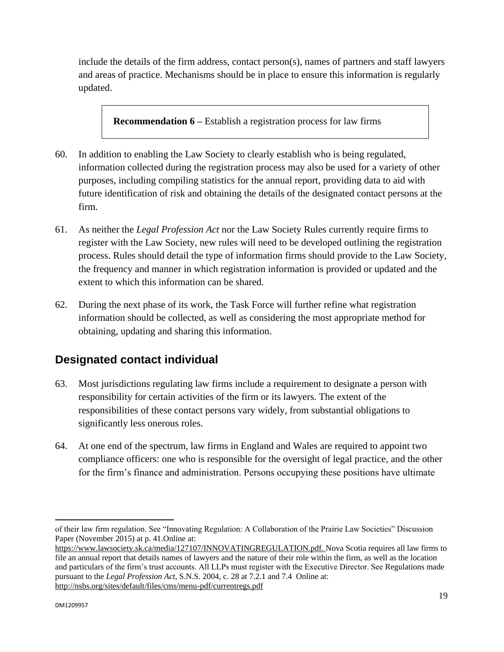include the details of the firm address, contact person(s), names of partners and staff lawyers and areas of practice. Mechanisms should be in place to ensure this information is regularly updated.

**Recommendation 6 –** Establish a registration process for law firms

- 60. In addition to enabling the Law Society to clearly establish who is being regulated, information collected during the registration process may also be used for a variety of other purposes, including compiling statistics for the annual report, providing data to aid with future identification of risk and obtaining the details of the designated contact persons at the firm.
- 61. As neither the *Legal Profession Act* nor the Law Society Rules currently require firms to register with the Law Society, new rules will need to be developed outlining the registration process. Rules should detail the type of information firms should provide to the Law Society, the frequency and manner in which registration information is provided or updated and the extent to which this information can be shared.
- 62. During the next phase of its work, the Task Force will further refine what registration information should be collected, as well as considering the most appropriate method for obtaining, updating and sharing this information.

## <span id="page-18-0"></span>**Designated contact individual**

- 63. Most jurisdictions regulating law firms include a requirement to designate a person with responsibility for certain activities of the firm or its lawyers. The extent of the responsibilities of these contact persons vary widely, from substantial obligations to significantly less onerous roles.
- 64. At one end of the spectrum, law firms in England and Wales are required to appoint two compliance officers: one who is responsible for the oversight of legal practice, and the other for the firm's finance and administration. Persons occupying these positions have ultimate

 $\overline{a}$ of their law firm regulation. See "Innovating Regulation: A Collaboration of the Prairie Law Societies" Discussion Paper (November 2015) at p. 41.Online at:

[https://www.lawsociety.sk.ca/media/127107/INNOVATINGREGULATION.pdf.](https://www.lawsociety.sk.ca/media/127107/INNOVATINGREGULATION.pdf) Nova Scotia requires all law firms to file an annual report that details names of lawyers and the nature of their role within the firm, as well as the location and particulars of the firm's trust accounts. All LLPs must register with the Executive Director. See Regulations made pursuant to the *Legal Profession Act*, S.N.S. 2004, c. 28 at 7.2.1 and 7.4 Online at: <http://nsbs.org/sites/default/files/cms/menu-pdf/currentregs.pdf>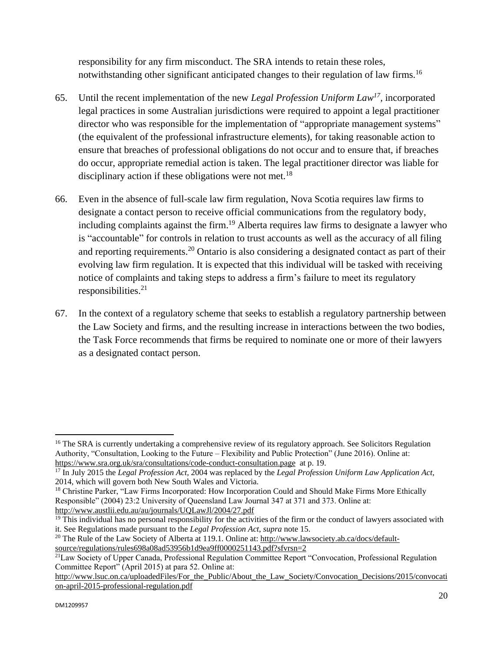responsibility for any firm misconduct. The SRA intends to retain these roles, notwithstanding other significant anticipated changes to their regulation of law firms.<sup>16</sup>

- 65. Until the recent implementation of the new *Legal Profession Uniform Law<sup>17</sup> ,* incorporated legal practices in some Australian jurisdictions were required to appoint a legal practitioner director who was responsible for the implementation of "appropriate management systems" (the equivalent of the professional infrastructure elements), for taking reasonable action to ensure that breaches of professional obligations do not occur and to ensure that, if breaches do occur, appropriate remedial action is taken. The legal practitioner director was liable for disciplinary action if these obligations were not met.<sup>18</sup>
- 66. Even in the absence of full-scale law firm regulation, Nova Scotia requires law firms to designate a contact person to receive official communications from the regulatory body, including complaints against the firm.<sup>19</sup> Alberta requires law firms to designate a lawyer who is "accountable" for controls in relation to trust accounts as well as the accuracy of all filing and reporting requirements.<sup>20</sup> Ontario is also considering a designated contact as part of their evolving law firm regulation. It is expected that this individual will be tasked with receiving notice of complaints and taking steps to address a firm's failure to meet its regulatory  $responsible 2<sup>1</sup>$
- 67. In the context of a regulatory scheme that seeks to establish a regulatory partnership between the Law Society and firms, and the resulting increase in interactions between the two bodies, the Task Force recommends that firms be required to nominate one or more of their lawyers as a designated contact person.

 $16$  The SRA is currently undertaking a comprehensive review of its regulatory approach. See Solicitors Regulation Authority, "Consultation, Looking to the Future – Flexibility and Public Protection" (June 2016). Online at: <https://www.sra.org.uk/sra/consultations/code-conduct-consultation.page>at p. 19.

<sup>17</sup> In July 2015 the *Legal Profession Act,* 2004 was replaced by the *Legal Profession Uniform Law Application Act,*  2014, which will govern both New South Wales and Victoria.

<sup>&</sup>lt;sup>18</sup> Christine Parker, "Law Firms Incorporated: How Incorporation Could and Should Make Firms More Ethically Responsible" (2004) 23:2 University of Queensland Law Journal 347 at 371 and 373. Online at: <http://www.austlii.edu.au/au/journals/UQLawJl/2004/27.pdf>

 $<sup>19</sup>$  This individual has no personal responsibility for the activities of the firm or the conduct of lawyers associated with</sup> it. See Regulations made pursuant to the *Legal Profession Act*, *supra* note 15.

<sup>&</sup>lt;sup>20</sup> The Rule of the Law Society of Alberta at 119.1. Online at[: http://www.lawsociety.ab.ca/docs/default](http://www.lawsociety.ab.ca/docs/default-source/regulations/rules698a08ad53956b1d9ea9ff0000251143.pdf?sfvrsn=2)[source/regulations/rules698a08ad53956b1d9ea9ff0000251143.pdf?sfvrsn=2](http://www.lawsociety.ab.ca/docs/default-source/regulations/rules698a08ad53956b1d9ea9ff0000251143.pdf?sfvrsn=2)

<sup>&</sup>lt;sup>21</sup>Law Society of Upper Canada, Professional Regulation Committee Report "Convocation, Professional Regulation Committee Report" (April 2015) at para 52. Online at:

http://www.lsuc.on.ca/uploadedFiles/For\_the\_Public/About\_the\_Law\_Society/Convocation Decisions/2015/convocati [on-april-2015-professional-regulation.pdf](http://www.lsuc.on.ca/uploadedFiles/For_the_Public/About_the_Law_Society/Convocation_Decisions/2015/convocation-april-2015-professional-regulation.pdf)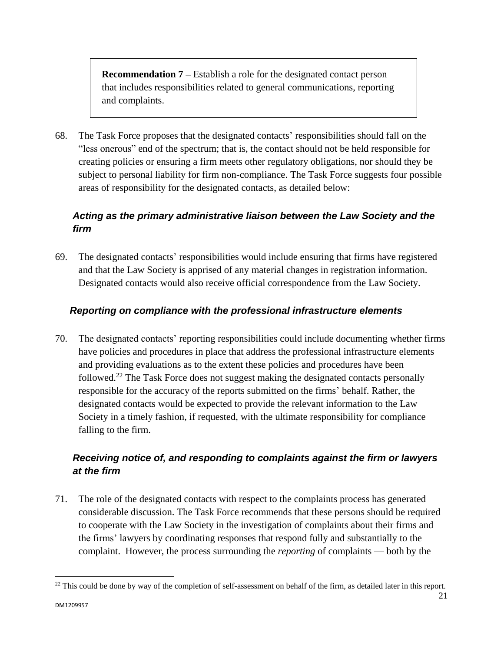**Recommendation 7 –** Establish a role for the designated contact person that includes responsibilities related to general communications, reporting and complaints.

68. The Task Force proposes that the designated contacts' responsibilities should fall on the "less onerous" end of the spectrum; that is, the contact should not be held responsible for creating policies or ensuring a firm meets other regulatory obligations, nor should they be subject to personal liability for firm non-compliance. The Task Force suggests four possible areas of responsibility for the designated contacts, as detailed below:

### *Acting as the primary administrative liaison between the Law Society and the firm*

69. The designated contacts' responsibilities would include ensuring that firms have registered and that the Law Society is apprised of any material changes in registration information. Designated contacts would also receive official correspondence from the Law Society.

### *Reporting on compliance with the professional infrastructure elements*

70. The designated contacts' reporting responsibilities could include documenting whether firms have policies and procedures in place that address the professional infrastructure elements and providing evaluations as to the extent these policies and procedures have been followed.<sup>22</sup> The Task Force does not suggest making the designated contacts personally responsible for the accuracy of the reports submitted on the firms' behalf. Rather, the designated contacts would be expected to provide the relevant information to the Law Society in a timely fashion, if requested, with the ultimate responsibility for compliance falling to the firm.

### *Receiving notice of, and responding to complaints against the firm or lawyers at the firm*

71. The role of the designated contacts with respect to the complaints process has generated considerable discussion. The Task Force recommends that these persons should be required to cooperate with the Law Society in the investigation of complaints about their firms and the firms' lawyers by coordinating responses that respond fully and substantially to the complaint. However, the process surrounding the *reporting* of complaints — both by the

 $^{22}$  This could be done by way of the completion of self-assessment on behalf of the firm, as detailed later in this report.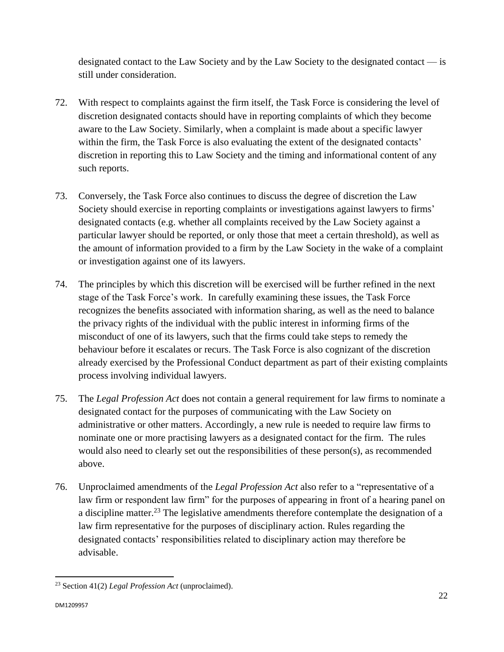designated contact to the Law Society and by the Law Society to the designated contact — is still under consideration.

- 72. With respect to complaints against the firm itself, the Task Force is considering the level of discretion designated contacts should have in reporting complaints of which they become aware to the Law Society. Similarly, when a complaint is made about a specific lawyer within the firm, the Task Force is also evaluating the extent of the designated contacts' discretion in reporting this to Law Society and the timing and informational content of any such reports.
- 73. Conversely, the Task Force also continues to discuss the degree of discretion the Law Society should exercise in reporting complaints or investigations against lawyers to firms' designated contacts (e.g. whether all complaints received by the Law Society against a particular lawyer should be reported, or only those that meet a certain threshold), as well as the amount of information provided to a firm by the Law Society in the wake of a complaint or investigation against one of its lawyers.
- 74. The principles by which this discretion will be exercised will be further refined in the next stage of the Task Force's work. In carefully examining these issues, the Task Force recognizes the benefits associated with information sharing, as well as the need to balance the privacy rights of the individual with the public interest in informing firms of the misconduct of one of its lawyers, such that the firms could take steps to remedy the behaviour before it escalates or recurs. The Task Force is also cognizant of the discretion already exercised by the Professional Conduct department as part of their existing complaints process involving individual lawyers.
- 75. The *Legal Profession Act* does not contain a general requirement for law firms to nominate a designated contact for the purposes of communicating with the Law Society on administrative or other matters. Accordingly, a new rule is needed to require law firms to nominate one or more practising lawyers as a designated contact for the firm. The rules would also need to clearly set out the responsibilities of these person(s), as recommended above.
- 76. Unproclaimed amendments of the *Legal Profession Act* also refer to a "representative of a law firm or respondent law firm" for the purposes of appearing in front of a hearing panel on a discipline matter.<sup>23</sup> The legislative amendments therefore contemplate the designation of a law firm representative for the purposes of disciplinary action. Rules regarding the designated contacts' responsibilities related to disciplinary action may therefore be advisable.

 $\overline{a}$ <sup>23</sup> Section 41(2) *Legal Profession Act* (unproclaimed).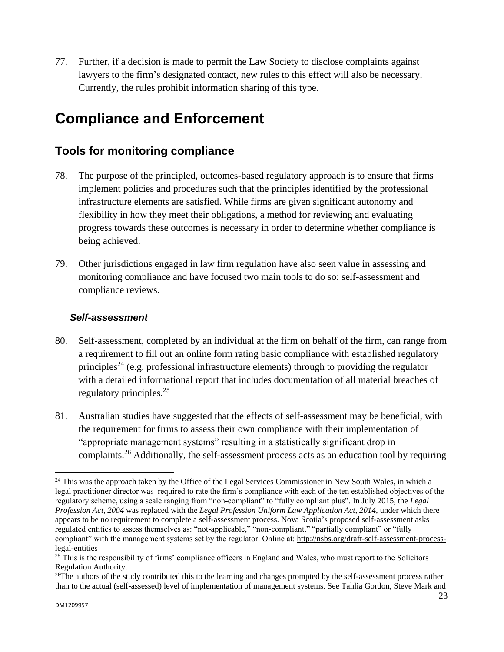77. Further, if a decision is made to permit the Law Society to disclose complaints against lawyers to the firm's designated contact, new rules to this effect will also be necessary. Currently, the rules prohibit information sharing of this type.

## <span id="page-22-0"></span>**Compliance and Enforcement**

### <span id="page-22-1"></span>**Tools for monitoring compliance**

- 78. The purpose of the principled, outcomes-based regulatory approach is to ensure that firms implement policies and procedures such that the principles identified by the professional infrastructure elements are satisfied. While firms are given significant autonomy and flexibility in how they meet their obligations, a method for reviewing and evaluating progress towards these outcomes is necessary in order to determine whether compliance is being achieved.
- 79. Other jurisdictions engaged in law firm regulation have also seen value in assessing and monitoring compliance and have focused two main tools to do so: self-assessment and compliance reviews.

### *Self-assessment*

- 80. Self-assessment, completed by an individual at the firm on behalf of the firm, can range from a requirement to fill out an online form rating basic compliance with established regulatory principles<sup>24</sup> (e.g. professional infrastructure elements) through to providing the regulator with a detailed informational report that includes documentation of all material breaches of regulatory principles. $^{25}$
- 81. Australian studies have suggested that the effects of self-assessment may be beneficial, with the requirement for firms to assess their own compliance with their implementation of "appropriate management systems" resulting in a statistically significant drop in complaints.<sup>26</sup> Additionally, the self-assessment process acts as an education tool by requiring

 $\overline{a}$ <sup>24</sup> This was the approach taken by the Office of the Legal Services Commissioner in New South Wales, in which a legal practitioner director was required to rate the firm's compliance with each of the ten established objectives of the regulatory scheme, using a scale ranging from "non-compliant" to "fully compliant plus". In July 2015, the *Legal Profession Act, 2004* was replaced with the *Legal Profession Uniform Law Application Act, 2014*, under which there appears to be no requirement to complete a self-assessment process. Nova Scotia's proposed self-assessment asks regulated entities to assess themselves as: "not-applicable," "non-compliant," "partially compliant" or "fully compliant" with the management systems set by the regulator. Online at: [http://nsbs.org/draft-self-assessment-process](http://nsbs.org/draft-self-assessment-process-legal-entities)[legal-entities](http://nsbs.org/draft-self-assessment-process-legal-entities)

 $25$  This is the responsibility of firms' compliance officers in England and Wales, who must report to the Solicitors Regulation Authority.

 $^{26}$ The authors of the study contributed this to the learning and changes prompted by the self-assessment process rather than to the actual (self-assessed) level of implementation of management systems. See Tahlia Gordon, Steve Mark and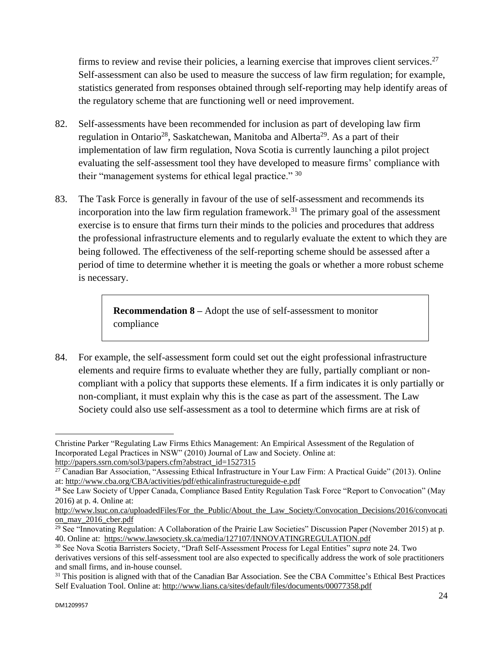firms to review and revise their policies, a learning exercise that improves client services.<sup>27</sup> Self-assessment can also be used to measure the success of law firm regulation; for example, statistics generated from responses obtained through self-reporting may help identify areas of the regulatory scheme that are functioning well or need improvement.

- 82. Self-assessments have been recommended for inclusion as part of developing law firm regulation in Ontario<sup>28</sup>, Saskatchewan, Manitoba and Alberta<sup>29</sup>. As a part of their implementation of law firm regulation, Nova Scotia is currently launching a pilot project evaluating the self-assessment tool they have developed to measure firms' compliance with their "management systems for ethical legal practice." <sup>30</sup>
- 83. The Task Force is generally in favour of the use of self-assessment and recommends its incorporation into the law firm regulation framework.<sup>31</sup> The primary goal of the assessment exercise is to ensure that firms turn their minds to the policies and procedures that address the professional infrastructure elements and to regularly evaluate the extent to which they are being followed. The effectiveness of the self-reporting scheme should be assessed after a period of time to determine whether it is meeting the goals or whether a more robust scheme is necessary.

**Recommendation 8 –** Adopt the use of self-assessment to monitor compliance

84. For example, the self-assessment form could set out the eight professional infrastructure elements and require firms to evaluate whether they are fully, partially compliant or noncompliant with a policy that supports these elements. If a firm indicates it is only partially or non-compliant, it must explain why this is the case as part of the assessment. The Law Society could also use self-assessment as a tool to determine which firms are at risk of

Christine Parker "Regulating Law Firms Ethics Management: An Empirical Assessment of the Regulation of Incorporated Legal Practices in NSW" (2010) Journal of Law and Society. Online at: [http://papers.ssrn.com/sol3/papers.cfm?abstract\\_id=1527315](http://papers.ssrn.com/sol3/papers.cfm?abstract_id=1527315)

<sup>&</sup>lt;sup>27</sup> Canadian Bar Association, "Assessing Ethical Infrastructure in Your Law Firm: A Practical Guide" (2013). Online at[: http://www.cba.org/CBA/activities/pdf/ethicalinfrastructureguide-e.pdf](http://www.cba.org/CBA/activities/pdf/ethicalinfrastructureguide-e.pdf) 

<sup>&</sup>lt;sup>28</sup> See Law Society of Upper Canada, Compliance Based Entity Regulation Task Force "Report to Convocation" (May 2016) at p. 4. Online at:

[http://www.lsuc.on.ca/uploadedFiles/For\\_the\\_Public/About\\_the\\_Law\\_Society/Convocation\\_Decisions/2016/convocati](http://www.lsuc.on.ca/uploadedFiles/For_the_Public/About_the_Law_Society/Convocation_Decisions/2016/convocation_may_2016_cber.pdf) [on\\_may\\_2016\\_cber.pdf](http://www.lsuc.on.ca/uploadedFiles/For_the_Public/About_the_Law_Society/Convocation_Decisions/2016/convocation_may_2016_cber.pdf)

<sup>&</sup>lt;sup>29</sup> See "Innovating Regulation: A Collaboration of the Prairie Law Societies" Discussion Paper (November 2015) at p. 40. Online at:<https://www.lawsociety.sk.ca/media/127107/INNOVATINGREGULATION.pdf>

<sup>30</sup> See Nova Scotia Barristers Society, "Draft Self-Assessment Process for Legal Entities" *supra* note 24. Two derivatives versions of this self-assessment tool are also expected to specifically address the work of sole practitioners and small firms, and in-house counsel.

<sup>&</sup>lt;sup>31</sup> This position is aligned with that of the Canadian Bar Association. See the CBA Committee's Ethical Best Practices Self Evaluation Tool. Online at[: http://www.lians.ca/sites/default/files/documents/00077358.pdf](http://www.lians.ca/sites/default/files/documents/00077358.pdf)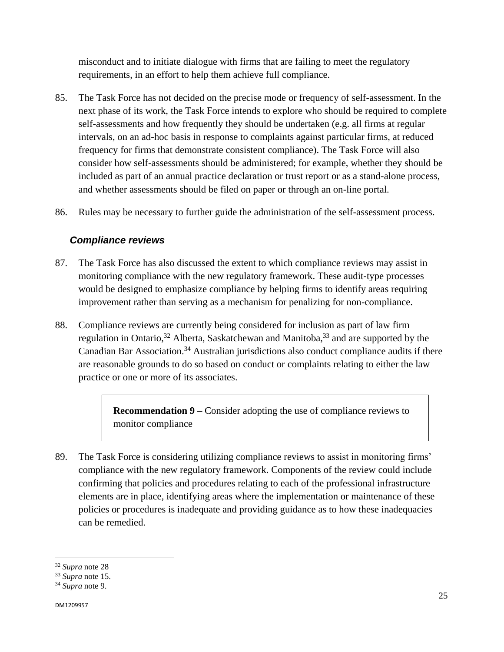misconduct and to initiate dialogue with firms that are failing to meet the regulatory requirements, in an effort to help them achieve full compliance.

- 85. The Task Force has not decided on the precise mode or frequency of self-assessment. In the next phase of its work, the Task Force intends to explore who should be required to complete self-assessments and how frequently they should be undertaken (e.g. all firms at regular intervals, on an ad-hoc basis in response to complaints against particular firms, at reduced frequency for firms that demonstrate consistent compliance). The Task Force will also consider how self-assessments should be administered; for example, whether they should be included as part of an annual practice declaration or trust report or as a stand-alone process, and whether assessments should be filed on paper or through an on-line portal.
- 86. Rules may be necessary to further guide the administration of the self-assessment process.

#### *Compliance reviews*

- 87. The Task Force has also discussed the extent to which compliance reviews may assist in monitoring compliance with the new regulatory framework. These audit-type processes would be designed to emphasize compliance by helping firms to identify areas requiring improvement rather than serving as a mechanism for penalizing for non-compliance.
- 88. Compliance reviews are currently being considered for inclusion as part of law firm regulation in Ontario,  $32$  Alberta, Saskatchewan and Manitoba,  $33$  and are supported by the Canadian Bar Association.<sup>34</sup> Australian jurisdictions also conduct compliance audits if there are reasonable grounds to do so based on conduct or complaints relating to either the law practice or one or more of its associates.

**Recommendation 9 –** Consider adopting the use of compliance reviews to monitor compliance

89. The Task Force is considering utilizing compliance reviews to assist in monitoring firms' compliance with the new regulatory framework. Components of the review could include confirming that policies and procedures relating to each of the professional infrastructure elements are in place, identifying areas where the implementation or maintenance of these policies or procedures is inadequate and providing guidance as to how these inadequacies can be remedied.

<sup>32</sup> *Supra* note 28

<sup>33</sup> *Supra* note 15.

<sup>34</sup> *Supra* note 9.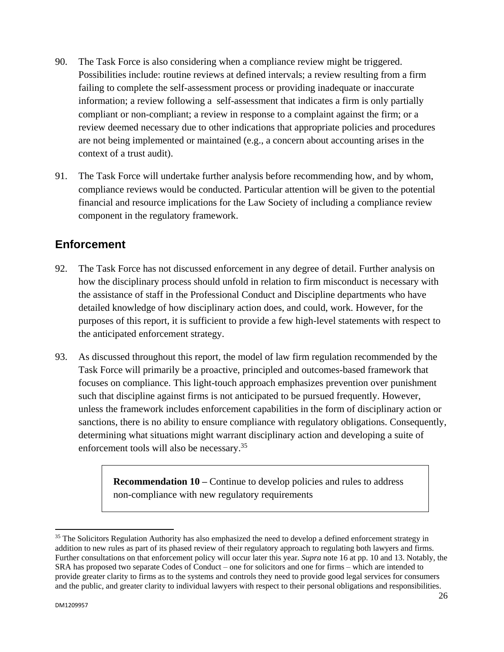- 90. The Task Force is also considering when a compliance review might be triggered. Possibilities include: routine reviews at defined intervals; a review resulting from a firm failing to complete the self-assessment process or providing inadequate or inaccurate information; a review following a self-assessment that indicates a firm is only partially compliant or non-compliant; a review in response to a complaint against the firm; or a review deemed necessary due to other indications that appropriate policies and procedures are not being implemented or maintained (e.g., a concern about accounting arises in the context of a trust audit).
- 91. The Task Force will undertake further analysis before recommending how, and by whom, compliance reviews would be conducted. Particular attention will be given to the potential financial and resource implications for the Law Society of including a compliance review component in the regulatory framework.

### <span id="page-25-0"></span>**Enforcement**

- 92. The Task Force has not discussed enforcement in any degree of detail. Further analysis on how the disciplinary process should unfold in relation to firm misconduct is necessary with the assistance of staff in the Professional Conduct and Discipline departments who have detailed knowledge of how disciplinary action does, and could, work. However, for the purposes of this report, it is sufficient to provide a few high-level statements with respect to the anticipated enforcement strategy.
- 93. As discussed throughout this report, the model of law firm regulation recommended by the Task Force will primarily be a proactive, principled and outcomes-based framework that focuses on compliance. This light-touch approach emphasizes prevention over punishment such that discipline against firms is not anticipated to be pursued frequently. However, unless the framework includes enforcement capabilities in the form of disciplinary action or sanctions, there is no ability to ensure compliance with regulatory obligations. Consequently, determining what situations might warrant disciplinary action and developing a suite of enforcement tools will also be necessary.<sup>35</sup>

**Recommendation 10 –** Continue to develop policies and rules to address non-compliance with new regulatory requirements

<sup>&</sup>lt;sup>35</sup> The Solicitors Regulation Authority has also emphasized the need to develop a defined enforcement strategy in addition to new rules as part of its phased review of their regulatory approach to regulating both lawyers and firms. Further consultations on that enforcement policy will occur later this year. *Supra* note 16 at pp. 10 and 13. Notably, the SRA has proposed two separate Codes of Conduct – one for solicitors and one for firms – which are intended to provide greater clarity to firms as to the systems and controls they need to provide good legal services for consumers and the public, and greater clarity to individual lawyers with respect to their personal obligations and responsibilities.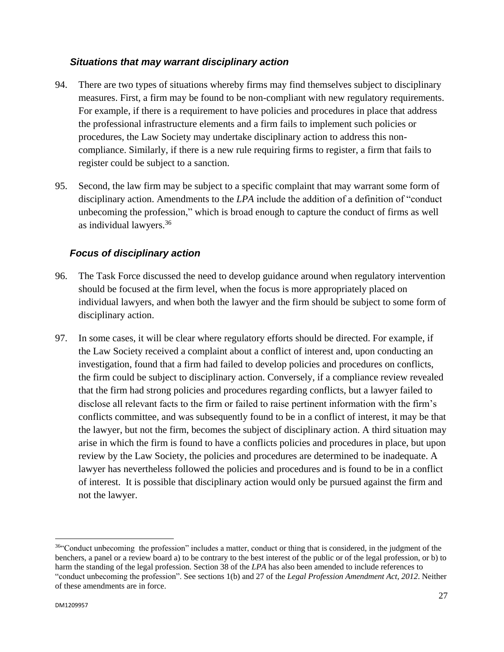#### *Situations that may warrant disciplinary action*

- 94. There are two types of situations whereby firms may find themselves subject to disciplinary measures. First, a firm may be found to be non-compliant with new regulatory requirements. For example, if there is a requirement to have policies and procedures in place that address the professional infrastructure elements and a firm fails to implement such policies or procedures, the Law Society may undertake disciplinary action to address this noncompliance. Similarly, if there is a new rule requiring firms to register, a firm that fails to register could be subject to a sanction.
- 95. Second, the law firm may be subject to a specific complaint that may warrant some form of disciplinary action. Amendments to the *LPA* include the addition of a definition of "conduct" unbecoming the profession," which is broad enough to capture the conduct of firms as well as individual lawyers.<sup>36</sup>

#### *Focus of disciplinary action*

- 96. The Task Force discussed the need to develop guidance around when regulatory intervention should be focused at the firm level, when the focus is more appropriately placed on individual lawyers, and when both the lawyer and the firm should be subject to some form of disciplinary action.
- 97. In some cases, it will be clear where regulatory efforts should be directed. For example, if the Law Society received a complaint about a conflict of interest and, upon conducting an investigation, found that a firm had failed to develop policies and procedures on conflicts, the firm could be subject to disciplinary action. Conversely, if a compliance review revealed that the firm had strong policies and procedures regarding conflicts, but a lawyer failed to disclose all relevant facts to the firm or failed to raise pertinent information with the firm's conflicts committee, and was subsequently found to be in a conflict of interest, it may be that the lawyer, but not the firm, becomes the subject of disciplinary action. A third situation may arise in which the firm is found to have a conflicts policies and procedures in place, but upon review by the Law Society, the policies and procedures are determined to be inadequate. A lawyer has nevertheless followed the policies and procedures and is found to be in a conflict of interest. It is possible that disciplinary action would only be pursued against the firm and not the lawyer.

 $\ddot{\phantom{a}}$ 36"Conduct unbecoming the profession" includes a matter, conduct or thing that is considered, in the judgment of the benchers, a panel or a review board a) to be contrary to the best interest of the public or of the legal profession, or b) to harm the standing of the legal profession. Section 38 of the *LPA* has also been amended to include references to "conduct unbecoming the profession". See sections 1(b) and 27 of the *Legal Profession Amendment Act, 2012*. Neither of these amendments are in force.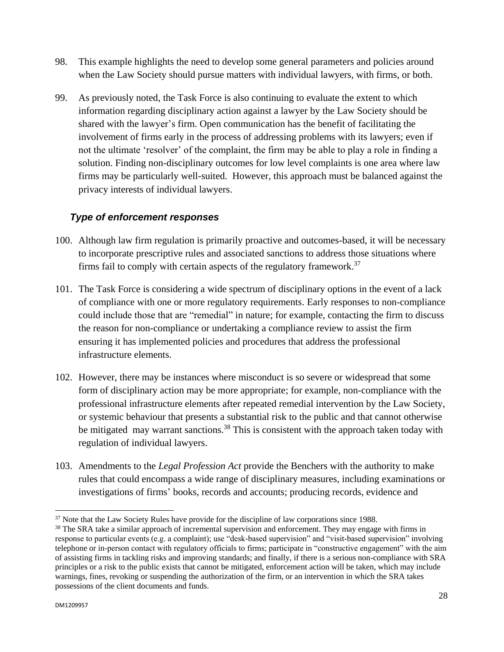- 98. This example highlights the need to develop some general parameters and policies around when the Law Society should pursue matters with individual lawyers, with firms, or both.
- 99. As previously noted, the Task Force is also continuing to evaluate the extent to which information regarding disciplinary action against a lawyer by the Law Society should be shared with the lawyer's firm. Open communication has the benefit of facilitating the involvement of firms early in the process of addressing problems with its lawyers; even if not the ultimate 'resolver' of the complaint, the firm may be able to play a role in finding a solution. Finding non-disciplinary outcomes for low level complaints is one area where law firms may be particularly well-suited. However, this approach must be balanced against the privacy interests of individual lawyers.

### *Type of enforcement responses*

- 100. Although law firm regulation is primarily proactive and outcomes-based, it will be necessary to incorporate prescriptive rules and associated sanctions to address those situations where firms fail to comply with certain aspects of the regulatory framework.<sup>37</sup>
- 101. The Task Force is considering a wide spectrum of disciplinary options in the event of a lack of compliance with one or more regulatory requirements. Early responses to non-compliance could include those that are "remedial" in nature; for example, contacting the firm to discuss the reason for non-compliance or undertaking a compliance review to assist the firm ensuring it has implemented policies and procedures that address the professional infrastructure elements.
- 102. However, there may be instances where misconduct is so severe or widespread that some form of disciplinary action may be more appropriate; for example, non-compliance with the professional infrastructure elements after repeated remedial intervention by the Law Society, or systemic behaviour that presents a substantial risk to the public and that cannot otherwise be mitigated may warrant sanctions.<sup>38</sup> This is consistent with the approach taken today with regulation of individual lawyers.
- 103. Amendments to the *Legal Profession Act* provide the Benchers with the authority to make rules that could encompass a wide range of disciplinary measures, including examinations or investigations of firms' books, records and accounts; producing records, evidence and

 $\ddot{\phantom{a}}$ <sup>37</sup> Note that the Law Society Rules have provide for the discipline of law corporations since 1988.

<sup>&</sup>lt;sup>38</sup> The SRA take a similar approach of incremental supervision and enforcement. They may engage with firms in response to particular events (e.g. a complaint); use "desk-based supervision" and "visit-based supervision" involving telephone or in-person contact with regulatory officials to firms; participate in "constructive engagement" with the aim of assisting firms in tackling risks and improving standards; and finally, if there is a serious non-compliance with SRA principles or a risk to the public exists that cannot be mitigated, enforcement action will be taken, which may include warnings, fines, revoking or suspending the authorization of the firm, or an intervention in which the SRA takes possessions of the client documents and funds.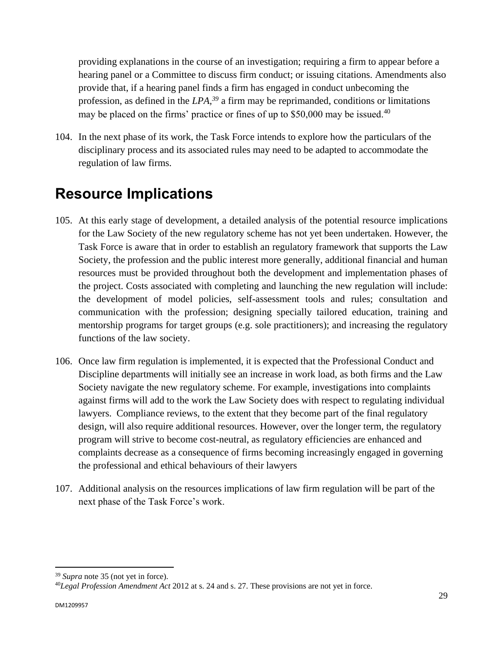providing explanations in the course of an investigation; requiring a firm to appear before a hearing panel or a Committee to discuss firm conduct; or issuing citations. Amendments also provide that, if a hearing panel finds a firm has engaged in conduct unbecoming the profession, as defined in the *LPA, <sup>39</sup>* a firm may be reprimanded, conditions or limitations may be placed on the firms' practice or fines of up to \$50,000 may be issued.<sup>40</sup>

104. In the next phase of its work, the Task Force intends to explore how the particulars of the disciplinary process and its associated rules may need to be adapted to accommodate the regulation of law firms.

## <span id="page-28-0"></span>**Resource Implications**

- 105. At this early stage of development, a detailed analysis of the potential resource implications for the Law Society of the new regulatory scheme has not yet been undertaken. However, the Task Force is aware that in order to establish an regulatory framework that supports the Law Society, the profession and the public interest more generally, additional financial and human resources must be provided throughout both the development and implementation phases of the project. Costs associated with completing and launching the new regulation will include: the development of model policies, self-assessment tools and rules; consultation and communication with the profession; designing specially tailored education, training and mentorship programs for target groups (e.g. sole practitioners); and increasing the regulatory functions of the law society.
- 106. Once law firm regulation is implemented, it is expected that the Professional Conduct and Discipline departments will initially see an increase in work load, as both firms and the Law Society navigate the new regulatory scheme. For example, investigations into complaints against firms will add to the work the Law Society does with respect to regulating individual lawyers. Compliance reviews, to the extent that they become part of the final regulatory design, will also require additional resources. However, over the longer term, the regulatory program will strive to become cost-neutral, as regulatory efficiencies are enhanced and complaints decrease as a consequence of firms becoming increasingly engaged in governing the professional and ethical behaviours of their lawyers
- 107. Additional analysis on the resources implications of law firm regulation will be part of the next phase of the Task Force's work.

 $\ddot{\phantom{a}}$ 

<sup>39</sup> *Supra* note 35 (not yet in force).

<sup>40</sup>*Legal Profession Amendment Act* 2012 at s. 24 and s. 27. These provisions are not yet in force.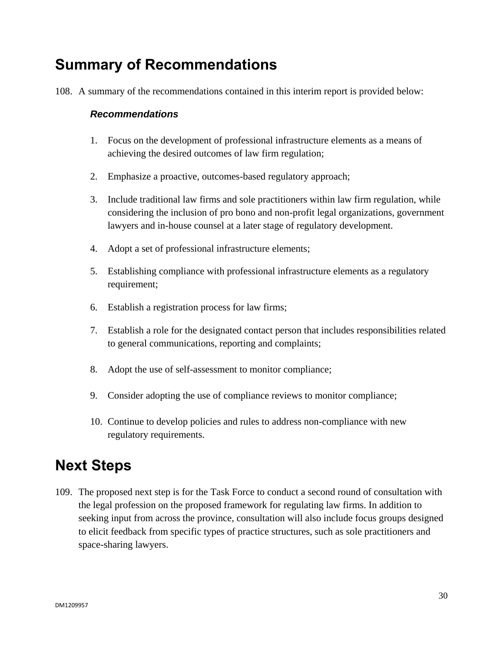## <span id="page-29-0"></span>**Summary of Recommendations**

108. A summary of the recommendations contained in this interim report is provided below:

#### *Recommendations*

- 1. Focus on the development of professional infrastructure elements as a means of achieving the desired outcomes of law firm regulation;
- 2. Emphasize a proactive, outcomes-based regulatory approach;
- 3. Include traditional law firms and sole practitioners within law firm regulation, while considering the inclusion of pro bono and non-profit legal organizations, government lawyers and in-house counsel at a later stage of regulatory development.
- 4. Adopt a set of professional infrastructure elements;
- 5. Establishing compliance with professional infrastructure elements as a regulatory requirement;
- 6. Establish a registration process for law firms;
- 7. Establish a role for the designated contact person that includes responsibilities related to general communications, reporting and complaints;
- 8. Adopt the use of self-assessment to monitor compliance;
- 9. Consider adopting the use of compliance reviews to monitor compliance;
- 10. Continue to develop policies and rules to address non-compliance with new regulatory requirements.

## <span id="page-29-1"></span>**Next Steps**

109. The proposed next step is for the Task Force to conduct a second round of consultation with the legal profession on the proposed framework for regulating law firms. In addition to seeking input from across the province, consultation will also include focus groups designed to elicit feedback from specific types of practice structures, such as sole practitioners and space-sharing lawyers.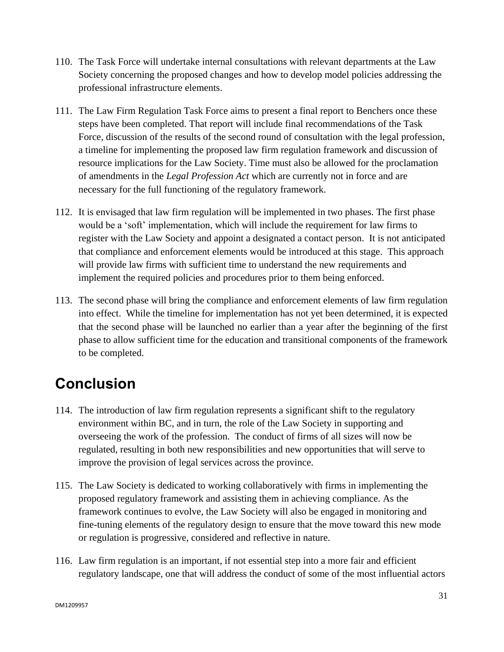- 110. The Task Force will undertake internal consultations with relevant departments at the Law Society concerning the proposed changes and how to develop model policies addressing the professional infrastructure elements.
- 111. The Law Firm Regulation Task Force aims to present a final report to Benchers once these steps have been completed. That report will include final recommendations of the Task Force, discussion of the results of the second round of consultation with the legal profession, a timeline for implementing the proposed law firm regulation framework and discussion of resource implications for the Law Society. Time must also be allowed for the proclamation of amendments in the *Legal Profession Act* which are currently not in force and are necessary for the full functioning of the regulatory framework.
- 112. It is envisaged that law firm regulation will be implemented in two phases. The first phase would be a 'soft' implementation, which will include the requirement for law firms to register with the Law Society and appoint a designated a contact person. It is not anticipated that compliance and enforcement elements would be introduced at this stage. This approach will provide law firms with sufficient time to understand the new requirements and implement the required policies and procedures prior to them being enforced.
- 113. The second phase will bring the compliance and enforcement elements of law firm regulation into effect. While the timeline for implementation has not yet been determined, it is expected that the second phase will be launched no earlier than a year after the beginning of the first phase to allow sufficient time for the education and transitional components of the framework to be completed.

## <span id="page-30-0"></span>**Conclusion**

- 114. The introduction of law firm regulation represents a significant shift to the regulatory environment within BC, and in turn, the role of the Law Society in supporting and overseeing the work of the profession. The conduct of firms of all sizes will now be regulated, resulting in both new responsibilities and new opportunities that will serve to improve the provision of legal services across the province.
- 115. The Law Society is dedicated to working collaboratively with firms in implementing the proposed regulatory framework and assisting them in achieving compliance. As the framework continues to evolve, the Law Society will also be engaged in monitoring and fine-tuning elements of the regulatory design to ensure that the move toward this new mode or regulation is progressive, considered and reflective in nature.
- 116. Law firm regulation is an important, if not essential step into a more fair and efficient regulatory landscape, one that will address the conduct of some of the most influential actors